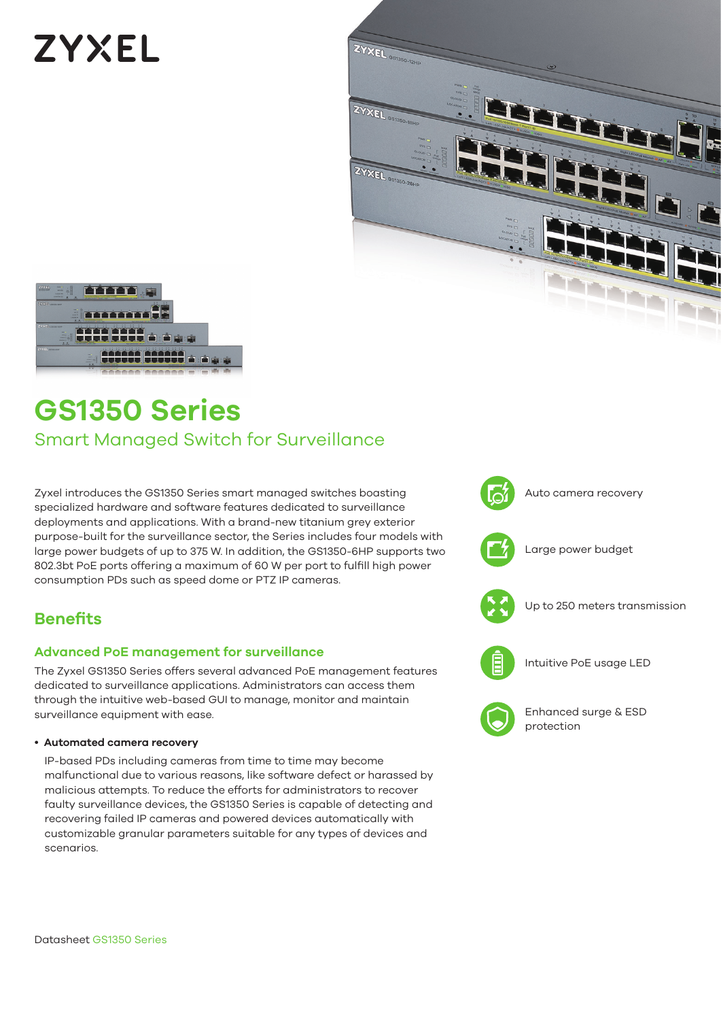# **ZYXEL**





# **GS1350 Series**

# Smart Managed Switch for Surveillance

Zyxel introduces the GS1350 Series smart managed switches boasting specialized hardware and software features dedicated to surveillance deployments and applications. With a brand-new titanium grey exterior purpose-built for the surveillance sector, the Series includes four models with large power budgets of up to 375 W. In addition, the GS1350-6HP supports two 802.3bt PoE ports offering a maximum of 60 W per port to fulfill high power consumption PDs such as speed dome or PTZ IP cameras.

## **Benefits**

#### **Advanced PoE management for surveillance**

The Zyxel GS1350 Series offers several advanced PoE management features dedicated to surveillance applications. Administrators can access them through the intuitive web-based GUI to manage, monitor and maintain surveillance equipment with ease.

#### • **Automated camera recovery**

IP-based PDs including cameras from time to time may become malfunctional due to various reasons, like software defect or harassed by malicious attempts. To reduce the efforts for administrators to recover faulty surveillance devices, the GS1350 Series is capable of detecting and recovering failed IP cameras and powered devices automatically with customizable granular parameters suitable for any types of devices and scenarios.

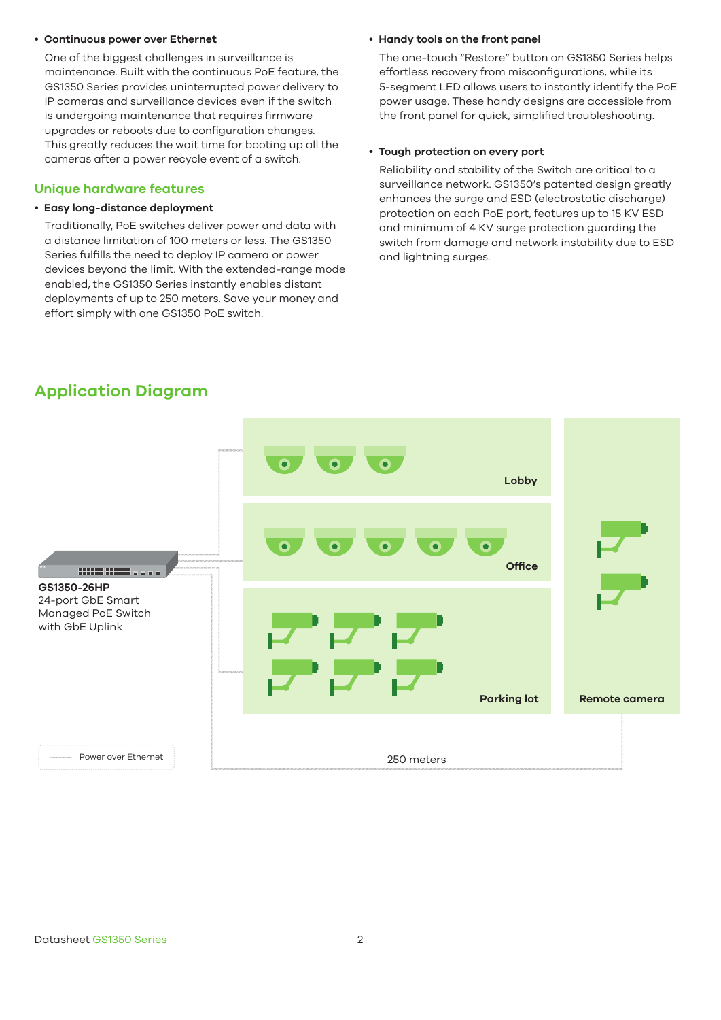#### • **Continuous power over Ethernet**

One of the biggest challenges in surveillance is maintenance. Built with the continuous PoE feature, the GS1350 Series provides uninterrupted power delivery to IP cameras and surveillance devices even if the switch is undergoing maintenance that requires firmware upgrades or reboots due to configuration changes. This greatly reduces the wait time for booting up all the cameras after a power recycle event of a switch.

#### **Unique hardware features**

#### • **Easy long-distance deployment**

Traditionally, PoE switches deliver power and data with a distance limitation of 100 meters or less. The GS1350 Series fulfills the need to deploy IP camera or power devices beyond the limit. With the extended-range mode enabled, the GS1350 Series instantly enables distant deployments of up to 250 meters. Save your money and effort simply with one GS1350 PoE switch.

#### • **Handy tools on the front panel**

The one-touch "Restore" button on GS1350 Series helps effortless recovery from misconfigurations, while its 5-segment LED allows users to instantly identify the PoE power usage. These handy designs are accessible from the front panel for quick, simplified troubleshooting.

#### • **Tough protection on every port**

Reliability and stability of the Switch are critical to a surveillance network. GS1350's patented design greatly enhances the surge and ESD (electrostatic discharge) protection on each PoE port, features up to 15 KV ESD and minimum of 4 KV surge protection guarding the switch from damage and network instability due to ESD and lightning surges.

### **Application Diagram**

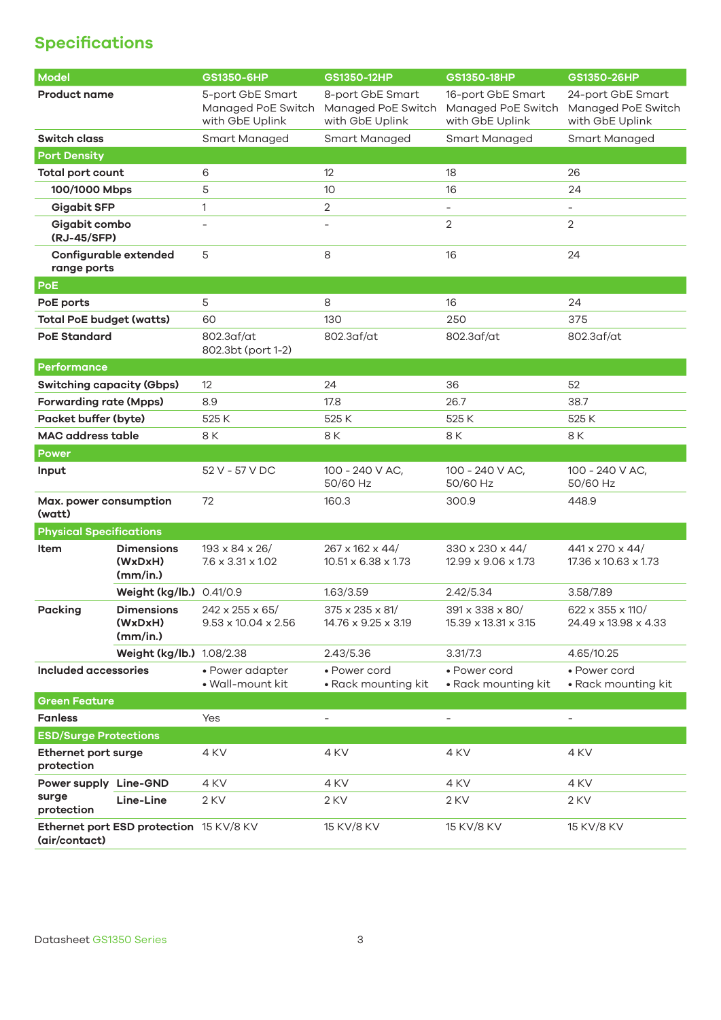# **Specifications**

| Model                                                    |                                          | GS1350-6HP                                                  | GS1350-12HP                                               | GS1350-18HP                                                | GS1350-26HP                                                |
|----------------------------------------------------------|------------------------------------------|-------------------------------------------------------------|-----------------------------------------------------------|------------------------------------------------------------|------------------------------------------------------------|
| <b>Product name</b>                                      |                                          | 5-port GbE Smart<br>Managed PoE Switch<br>with GbE Uplink   | 8-port GbE Smart<br>Managed PoE Switch<br>with GbE Uplink | 16-port GbE Smart<br>Managed PoE Switch<br>with GbE Uplink | 24-port GbE Smart<br>Managed PoE Switch<br>with GbE Uplink |
| <b>Switch class</b>                                      |                                          | Smart Managed                                               | Smart Managed                                             | Smart Managed                                              | Smart Managed                                              |
| <b>Port Density</b>                                      |                                          |                                                             |                                                           |                                                            |                                                            |
| <b>Total port count</b>                                  |                                          | 6                                                           | 12                                                        | 18                                                         | 26                                                         |
| 100/1000 Mbps                                            |                                          | 5                                                           | 10                                                        | 16                                                         | 24                                                         |
| <b>Gigabit SFP</b>                                       |                                          | 1                                                           | $\overline{2}$                                            | $\qquad \qquad -$                                          | $\qquad \qquad -$                                          |
| Gigabit combo<br>(RJ-45/SFP)                             |                                          | L.                                                          |                                                           | $\overline{2}$                                             | 2                                                          |
| Configurable extended<br>range ports                     |                                          | 5                                                           | 8                                                         | 16                                                         | 24                                                         |
| <b>PoE</b>                                               |                                          |                                                             |                                                           |                                                            |                                                            |
| PoE ports                                                |                                          | 5                                                           | 8                                                         | 16                                                         | 24                                                         |
| <b>Total PoE budget (watts)</b>                          |                                          | 60                                                          | 130                                                       | 250                                                        | 375                                                        |
| <b>PoE Standard</b>                                      |                                          | 802.3af/at<br>802.3bt (port 1-2)                            | 802.3af/at                                                | 802.3af/at                                                 | 802.3af/at                                                 |
| <b>Performance</b>                                       |                                          |                                                             |                                                           |                                                            |                                                            |
| <b>Switching capacity (Gbps)</b>                         |                                          | 12                                                          | 24                                                        | 36                                                         | 52                                                         |
| <b>Forwarding rate (Mpps)</b>                            |                                          | 8.9                                                         | 17.8                                                      | 26.7                                                       | 38.7                                                       |
| Packet buffer (byte)                                     |                                          | 525K                                                        | 525 K                                                     | 525 K                                                      | 525 K                                                      |
| <b>MAC address table</b>                                 |                                          | 8 K                                                         | 8 K                                                       | 8 K                                                        | 8 K                                                        |
| <b>Power</b>                                             |                                          |                                                             |                                                           |                                                            |                                                            |
| Input                                                    |                                          | 52 V - 57 V DC                                              | 100 - 240 V AC,<br>50/60 Hz                               | 100 - 240 V AC,<br>50/60 Hz                                | 100 - 240 V AC,<br>50/60 Hz                                |
| Max. power consumption<br>(watt)                         |                                          | 72                                                          | 160.3                                                     | 300.9                                                      | 448.9                                                      |
| <b>Physical Specifications</b>                           |                                          |                                                             |                                                           |                                                            |                                                            |
| Item                                                     | <b>Dimensions</b><br>(WxDxH)<br>(mm/in.) | $193 \times 84 \times 26/$<br>$7.6 \times 3.31 \times 1.02$ | 267 x 162 x 44/<br>10.51 x 6.38 x 1.73                    | 330 x 230 x 44/<br>12.99 x 9.06 x 1.73                     | 441 x 270 x 44/<br>17.36 x 10.63 x 1.73                    |
|                                                          | Weight (kg/lb.) 0.41/0.9                 |                                                             | 1.63/3.59                                                 | 2.42/5.34                                                  | 3.58/7.89                                                  |
| <b>Packing</b>                                           | <b>Dimensions</b><br>(WxDxH)<br>(mm/in.) | 242 x 255 x 65/<br>$9.53 \times 10.04 \times 2.56$          | 375 x 235 x 81/<br>14.76 x 9.25 x 3.19                    | 391 x 338 x 80/<br>15.39 x 13.31 x 3.15                    | 622 x 355 x 110/<br>24.49 x 13.98 x 4.33                   |
|                                                          | Weight (kg/lb.) 1.08/2.38                |                                                             | 2.43/5.36                                                 | 3.31/7.3                                                   | 4.65/10.25                                                 |
| <b>Included accessories</b>                              |                                          | • Power adapter<br>• Wall-mount kit                         | • Power cord<br>• Rack mounting kit                       | • Power cord<br>• Rack mounting kit                        | • Power cord<br>• Rack mounting kit                        |
| <b>Green Feature</b>                                     |                                          |                                                             |                                                           |                                                            |                                                            |
| <b>Fanless</b>                                           |                                          | Yes                                                         | $\overline{a}$                                            | ÷,                                                         | $\overline{a}$                                             |
| <b>ESD/Surge Protections</b>                             |                                          |                                                             |                                                           |                                                            |                                                            |
| Ethernet port surge<br>protection                        |                                          | 4 KV                                                        | 4 KV                                                      | 4 KV                                                       | 4 KV                                                       |
| Power supply Line-GND<br>surge<br>protection             |                                          | 4 KV                                                        | 4 KV                                                      | 4 KV                                                       | 4 KV                                                       |
|                                                          | Line-Line                                | 2 KV                                                        | 2 KV                                                      | 2 KV                                                       | 2 KV                                                       |
| Ethernet port ESD protection 15 KV/8 KV<br>(air/contact) |                                          |                                                             | 15 KV/8 KV                                                | 15 KV/8 KV                                                 | 15 KV/8 KV                                                 |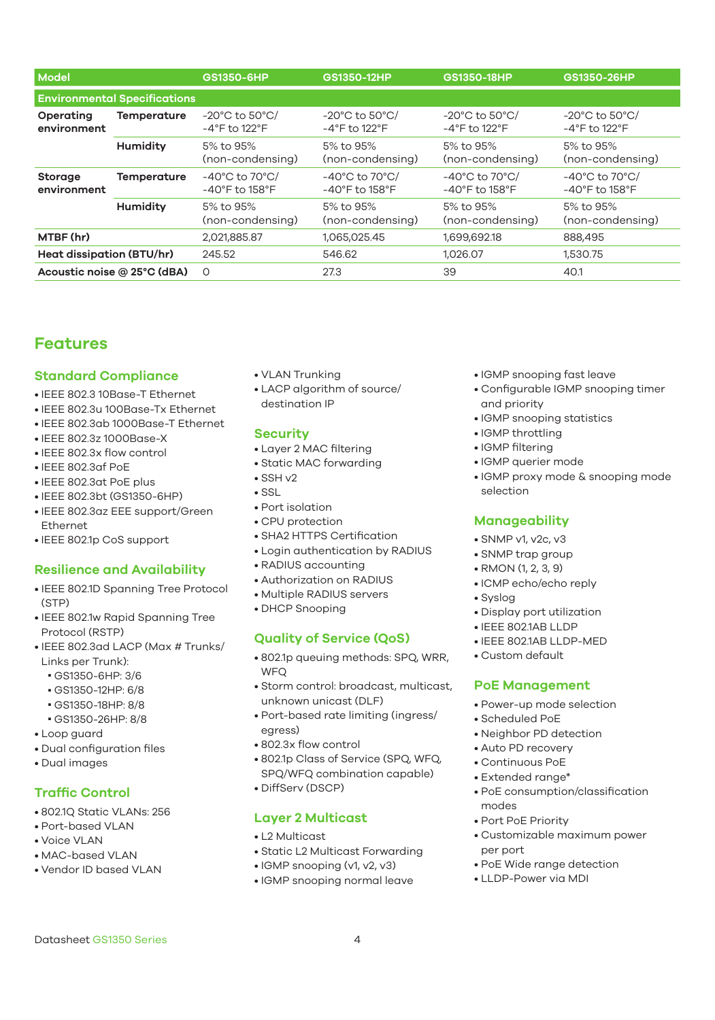| Model                               |                    | GS1350-6HP                                                                | GS1350-12HP                                                                | GS1350-18HP                                                           | GS1350-26HP                                                                |  |  |
|-------------------------------------|--------------------|---------------------------------------------------------------------------|----------------------------------------------------------------------------|-----------------------------------------------------------------------|----------------------------------------------------------------------------|--|--|
| <b>Environmental Specifications</b> |                    |                                                                           |                                                                            |                                                                       |                                                                            |  |  |
| Operating<br>environment            | <b>Temperature</b> | $-20^{\circ}$ C to 50 $^{\circ}$ C/<br>$-4^{\circ}$ F to 122 $^{\circ}$ F | $-20^{\circ}$ C to 50 $^{\circ}$ C/<br>$-4^{\circ}$ F to 122°F             | $-20^{\circ}$ C to 50 $^{\circ}$ C/<br>$-4^\circ$ F to 122 $^\circ$ F | $-20^{\circ}$ C to 50 $^{\circ}$ C/<br>$-4^{\circ}$ F to 122 $^{\circ}$ F  |  |  |
|                                     | Humidity           | 5% to 95%<br>(non-condensing)                                             | 5% to 95%<br>(non-condensing)                                              | 5% to 95%<br>(non-condensing)                                         | 5% to 95%<br>(non-condensing)                                              |  |  |
| <b>Storage</b><br>environment       | <b>Temperature</b> | $-40^{\circ}$ C to 70 $^{\circ}$ C/<br>$-40^\circ$ F to 158 $^\circ$ F    | $-40^{\circ}$ C to 70 $^{\circ}$ C/<br>$-40^{\circ}$ F to 158 $^{\circ}$ F | -40°C to 70°C/<br>$-40^{\circ}$ F to 158 $^{\circ}$ F                 | $-40^{\circ}$ C to 70 $^{\circ}$ C/<br>$-40^{\circ}$ F to 158 $^{\circ}$ F |  |  |
|                                     | Humidity           | 5% to 95%<br>(non-condensing)                                             | 5% to 95%<br>(non-condensing)                                              | 5% to 95%<br>(non-condensing)                                         | 5% to 95%<br>(non-condensing)                                              |  |  |
| MTBF (hr)                           |                    | 2,021,885.87                                                              | 1,065,025.45                                                               | 1,699,692.18                                                          | 888,495                                                                    |  |  |
| <b>Heat dissipation (BTU/hr)</b>    |                    | 245.52                                                                    | 546.62                                                                     | 1,026.07                                                              | 1,530.75                                                                   |  |  |
| Acoustic noise @ 25°C (dBA)         |                    | $\Omega$                                                                  | 27.3                                                                       | 39                                                                    | 40.1                                                                       |  |  |

### **Features**

#### **Standard Compliance**

- IEEE 802.3 10Base-T Ethernet
- IEEE 802.3u 100Base-Tx Ethernet
- IEEE 802.3ab 1000Base-T Ethernet
- IEEE 802.3z 1000Base-X
- IEEE 802.3x flow control
- IEEE 802.3af PoE
- IEEE 802.3at PoE plus
- IEEE 802.3bt (GS1350-6HP)
- IEEE 802.3az EEE support/Green Ethernet
- IEEE 802.1p CoS support

#### **Resilience and Availability**

- IEEE 802.1D Spanning Tree Protocol (STP)
- IEEE 802.1w Rapid Spanning Tree Protocol (RSTP)
- IEEE 802.3ad LACP (Max # Trunks/ Links per Trunk):
	- GS1350-6HP: 3/6
	- GS1350-12HP: 6/8
	- GS1350-18HP: 8/8
	- GS1350-26HP: 8/8
- Loop guard
- Dual configuration files
- Dual images

#### **Traffic Control**

- 802.1Q Static VLANs: 256
- Port-based VLAN
- Voice VLAN
- MAC-based VLAN
- Vendor ID based VLAN
- VLAN Trunking
- LACP algorithm of source/ destination IP

#### **Security**

- Layer 2 MAC filtering
- Static MAC forwarding
- $\cdot$  SSH  $\sqrt{2}$
- SSL
- Port isolation
- CPU protection
- SHA2 HTTPS Certification
- Login authentication by RADIUS
- RADIUS accounting
- Authorization on RADIUS
- Multiple RADIUS servers
- DHCP Snooping

#### **Quality of Service (QoS)**

- 802.1p queuing methods: SPQ, WRR, **WFO**
- Storm control: broadcast, multicast, unknown unicast (DLF)
- Port-based rate limiting (ingress/
- egress) • 802.3x flow control
- 802.1p Class of Service (SPQ, WFQ, SPQ/WFQ combination capable)
- DiffServ (DSCP)

#### **Layer 2 Multicast**

- L2 Multicast
- Static L2 Multicast Forwarding
- IGMP snooping (v1, v2, v3)
- IGMP snooping normal leave
- IGMP snooping fast leave
- Configurable IGMP snooping timer and priority
- IGMP snooping statistics
- IGMP throttling
- IGMP filtering
- IGMP querier mode
- IGMP proxy mode & snooping mode selection

#### **Manageability**

- SNMP v1, v2c, v3
- SNMP trap group
- RMON (1, 2, 3, 9)
- ICMP echo/echo reply
- Syslog
- Display port utilization
- IEEE 802.1AB LLDP
- IEEE 802.1AB LLDP-MED
- Custom default

#### **PoE Management**

- Power-up mode selection
- Scheduled PoE
- Neighbor PD detection
- Auto PD recovery
- Continuous PoE
- Extended range\*
- PoE consumption/classification modes
- Port PoE Priority
- Customizable maximum power per port
- PoE Wide range detection
- LLDP-Power via MDI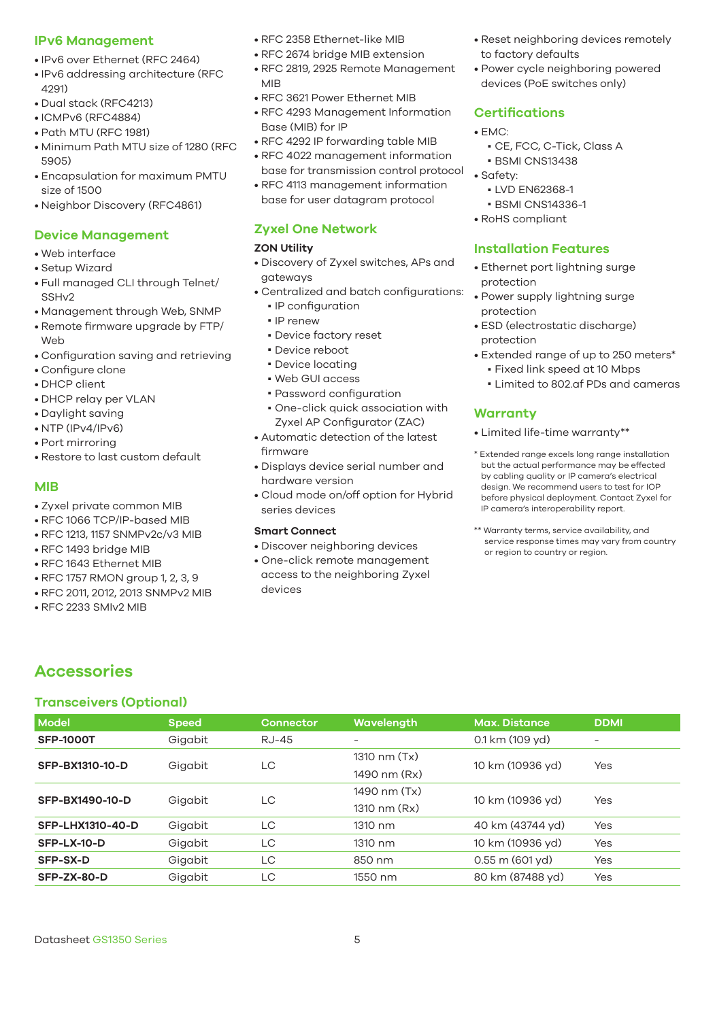#### **IPv6 Management**

- IPv6 over Ethernet (RFC 2464)
- IPv6 addressing architecture (RFC 4291)
- Dual stack (RFC4213)
- ICMPv6 (RFC4884)
- Path MTU (RFC 1981)
- Minimum Path MTU size of 1280 (RFC 5905)
- Encapsulation for maximum PMTU size of 1500
- Neighbor Discovery (RFC4861)

#### **Device Management**

- Web interface
- Setup Wizard
- Full managed CLI through Telnet/ SSH<sub>V2</sub>
- Management through Web, SNMP
- Remote firmware upgrade by FTP/ Web
- Configuration saving and retrieving
- Configure clone
- DHCP client
- DHCP relay per VLAN
- Daylight saving
- NTP (IPv4/IPv6)
- Port mirroring
- Restore to last custom default

#### **MIB**

- Zyxel private common MIB
- RFC 1066 TCP/IP-based MIB
- RFC 1213, 1157 SNMPv2c/v3 MIB
- RFC 1493 bridge MIB
- RFC 1643 Ethernet MIB
- RFC 1757 RMON group 1, 2, 3, 9
- RFC 2011, 2012, 2013 SNMPv2 MIB
- RFC 2233 SMIv2 MIB
- RFC 2358 Ethernet-like MIB
- RFC 2674 bridge MIB extension
- RFC 2819, 2925 Remote Management MIB
- RFC 3621 Power Ethernet MIB
- RFC 4293 Management Information Base (MIB) for IP
- RFC 4292 IP forwarding table MIB
- RFC 4022 management information base for transmission control protocol
- RFC 4113 management information base for user datagram protocol

#### **Zyxel One Network**

#### **ZON Utility**

- Discovery of Zyxel switches, APs and gateways
- Centralized and batch configurations:
	- IP configuration
	- IP renew
	- Device factory reset
	- Device reboot
	- Device locating
	- Web GUI access
	- Password configuration
	- One-click quick association with Zyxel AP Configurator (ZAC)
- Automatic detection of the latest firmware
- Displays device serial number and hardware version
- Cloud mode on/off option for Hybrid series devices

#### **Smart Connect**

• Discover neighboring devices

**Model Speed Connector Wavelength Max. Distance DDMI SFP-1000T** Gigabit RJ-45 - 0.1 km (109 yd) -

**SFP-LHX1310-40-D** Gigabit LC 1310 nm 40 km (43744 yd) Yes **SFP-LX-10-D** Gigabit LC 1310 nm 10 km (10936 vd) Yes **SFP-SX-D** Gigabit LC 850 nm 0.55 m (601 yd) Yes **SFP-ZX-80-D** Gigabit LC 1550 nm 80 km (87488 yd) Yes

• One-click remote management access to the neighboring Zyxel devices

- Reset neighboring devices remotely to factory defaults
- Power cycle neighboring powered devices (PoE switches only)

#### **Certifications**

#### $\bullet$  EMC:

- CE, FCC, C-Tick, Class A
- BSMI CNS13438
- Safety:
	- LVD EN62368-1
	- BSMI CNS14336-1
- RoHS compliant

#### **Installation Features**

- Ethernet port lightning surge protection
- Power supply lightning surge protection
- ESD (electrostatic discharge) protection
- Extended range of up to 250 meters\*
	- Fixed link speed at 10 Mbps ■ Limited to 802.af PDs and cameras

#### **Warranty**

1310 nm (Tx) 10 km (10936 yd) Yes

1490 nm (Tx) 10 km (10936 yd) Yes

- Limited life-time warranty\*\*
- \* Extended range excels long range installation but the actual performance may be effected by cabling quality or IP camera's electrical design. We recommend users to test for IOP before physical deployment. Contact Zyxel for IP camera's interoperability report.
- \*\* Warranty terms, service availability, and service response times may vary from country or region to country or region.

1490 nm (Rx)

1310 nm (Rx)

**Transceivers (Optional) Accessories**

**SFP-BX1310-10-D** Gigabit LC

**SFP-BX1490-10-D** Gigabit LC